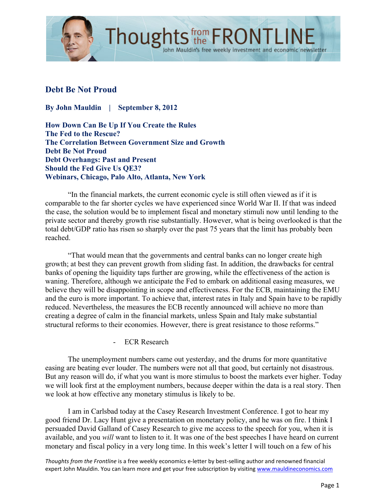

# **Debt Be Not Proud**

**By John Mauldin | September 8, 2012**

**How Down Can Be Up If You Create the Rules The Fed to the Rescue? The Correlation Between Government Size and Growth Debt Be Not Proud Debt Overhangs: Past and Present Should the Fed Give Us QE3? Webinars, Chicago, Palo Alto, Atlanta, New York**

"In the financial markets, the current economic cycle is still often viewed as if it is comparable to the far shorter cycles we have experienced since World War II. If that was indeed the case, the solution would be to implement fiscal and monetary stimuli now until lending to the private sector and thereby growth rise substantially. However, what is being overlooked is that the total debt/GDP ratio has risen so sharply over the past 75 years that the limit has probably been reached.

"That would mean that the governments and central banks can no longer create high growth; at best they can prevent growth from sliding fast. In addition, the drawbacks for central banks of opening the liquidity taps further are growing, while the effectiveness of the action is waning. Therefore, although we anticipate the Fed to embark on additional easing measures, we believe they will be disappointing in scope and effectiveness. For the ECB, maintaining the EMU and the euro is more important. To achieve that, interest rates in Italy and Spain have to be rapidly reduced. Nevertheless, the measures the ECB recently announced will achieve no more than creating a degree of calm in the financial markets, unless Spain and Italy make substantial structural reforms to their economies. However, there is great resistance to those reforms."

- ECR Research

The unemployment numbers came out yesterday, and the drums for more quantitative easing are beating ever louder. The numbers were not all that good, but certainly not disastrous. But any reason will do, if what you want is more stimulus to boost the markets ever higher. Today we will look first at the employment numbers, because deeper within the data is a real story. Then we look at how effective any monetary stimulus is likely to be.

I am in Carlsbad today at the Casey Research Investment Conference. I got to hear my good friend Dr. Lacy Hunt give a presentation on monetary policy, and he was on fire. I think I persuaded David Galland of Casey Research to give me access to the speech for you, when it is available, and you *will* want to listen to it. It was one of the best speeches I have heard on current monetary and fiscal policy in a very long time. In this week's letter I will touch on a few of his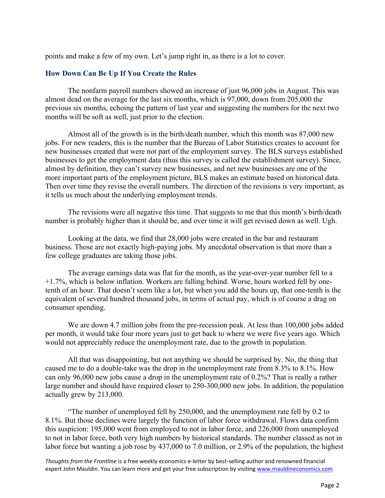points and make a few of my own. Let's jump right in, as there is a lot to cover.

#### **How Down Can Be Up If You Create the Rules**

The nonfarm payroll numbers showed an increase of just 96,000 jobs in August. This was almost dead on the average for the last six months, which is 97,000, down from 205,000 the previous six months, echoing the pattern of last year and suggesting the numbers for the next two months will be soft as well, just prior to the election.

Almost all of the growth is in the birth/death number, which this month was 87,000 new jobs. For new readers, this is the number that the Bureau of Labor Statistics creates to account for new businesses created that were not part of the employment survey. The BLS surveys established businesses to get the employment data (thus this survey is called the establishment survey). Since, almost by definition, they can't survey new businesses, and net new businesses are one of the more important parts of the employment picture, BLS makes an estimate based on historical data. Then over time they revise the overall numbers. The direction of the revisions is very important, as it tells us much about the underlying employment trends.

The revisions were all negative this time. That suggests to me that this month's birth/death number is probably higher than it should be, and over time it will get revised down as well. Ugh.

Looking at the data, we find that 28,000 jobs were created in the bar and restaurant business. Those are not exactly high-paying jobs. My anecdotal observation is that more than a few college graduates are taking those jobs.

The average earnings data was flat for the month, as the year-over-year number fell to a +1.7%, which is below inflation. Workers are falling behind. Worse, hours worked fell by onetenth of an hour. That doesn't seem like a lot, but when you add the hours up, that one-tenth is the equivalent of several hundred thousand jobs, in terms of actual pay, which is of course a drag on consumer spending.

We are down 4.7 million jobs from the pre-recession peak. At less than 100,000 jobs added per month, it would take four more years just to get back to where we were five years ago. Which would not appreciably reduce the unemployment rate, due to the growth in population.

All that was disappointing, but not anything we should be surprised by. No, the thing that caused me to do a double-take was the drop in the unemployment rate from 8.3% to 8.1%. How can only 96,000 new jobs cause a drop in the unemployment rate of 0.2%? That is really a rather large number and should have required closer to 250-300,000 new jobs. In addition, the population actually grew by 213,000.

"The number of unemployed fell by 250,000, and the unemployment rate fell by 0.2 to 8.1%. But those declines were largely the function of labor force withdrawal. Flows data confirm this suspicion: 195,000 went from employed to not in labor force, and 226,000 from unemployed to not in labor force, both very high numbers by historical standards. The number classed as not in labor force but wanting a job rose by 437,000 to 7.0 million, or 2.9% of the population, the highest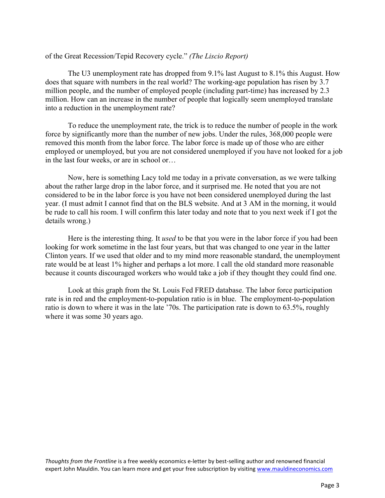#### of the Great Recession/Tepid Recovery cycle." *(The Liscio Report)*

The U3 unemployment rate has dropped from 9.1% last August to 8.1% this August. How does that square with numbers in the real world? The working-age population has risen by 3.7 million people, and the number of employed people (including part-time) has increased by 2.3 million. How can an increase in the number of people that logically seem unemployed translate into a reduction in the unemployment rate?

To reduce the unemployment rate, the trick is to reduce the number of people in the work force by significantly more than the number of new jobs. Under the rules, 368,000 people were removed this month from the labor force. The labor force is made up of those who are either employed or unemployed, but you are not considered unemployed if you have not looked for a job in the last four weeks, or are in school or…

Now, here is something Lacy told me today in a private conversation, as we were talking about the rather large drop in the labor force, and it surprised me. He noted that you are not considered to be in the labor force is you have not been considered unemployed during the last year. (I must admit I cannot find that on the BLS website. And at 3 AM in the morning, it would be rude to call his room. I will confirm this later today and note that to you next week if I got the details wrong.)

Here is the interesting thing. It *used* to be that you were in the labor force if you had been looking for work sometime in the last four years, but that was changed to one year in the latter Clinton years. If we used that older and to my mind more reasonable standard, the unemployment rate would be at least 1% higher and perhaps a lot more. I call the old standard more reasonable because it counts discouraged workers who would take a job if they thought they could find one.

Look at this graph from the St. Louis Fed FRED database. The labor force participation rate is in red and the employment-to-population ratio is in blue. The employment-to-population ratio is down to where it was in the late '70s. The participation rate is down to 63.5%, roughly where it was some 30 years ago.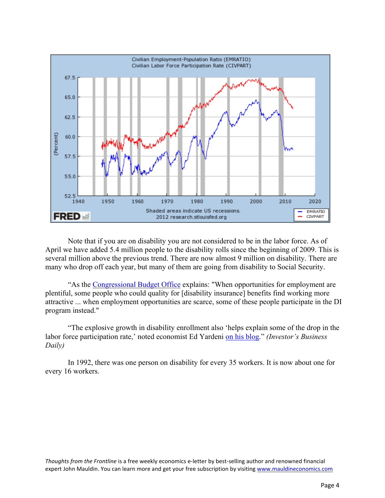

Note that if you are on disability you are not considered to be in the labor force. As of April we have added 5.4 million people to the disability rolls since the beginning of 2009. This is several million above the previous trend. There are now almost 9 million on disability. There are many who drop off each year, but many of them are going from disability to Social Security.

"As the Congressional Budget Office explains: "When opportunities for employment are plentiful, some people who could quality for [disability insurance] benefits find working more attractive ... when employment opportunities are scarce, some of these people participate in the DI program instead."

"The explosive growth in disability enrollment also 'helps explain some of the drop in the labor force participation rate,' noted economist Ed Yardeni on his blog." *(Investor's Business Daily)*

In 1992, there was one person on disability for every 35 workers. It is now about one for every 16 workers.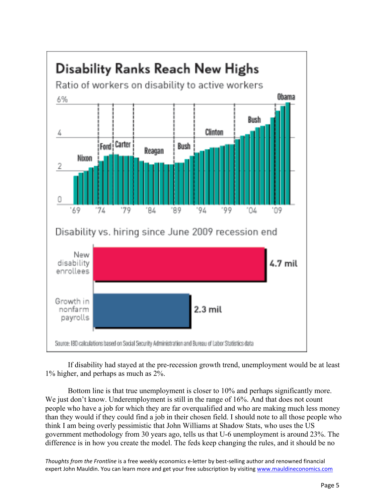

If disability had stayed at the pre-recession growth trend, unemployment would be at least 1% higher, and perhaps as much as 2%.

Bottom line is that true unemployment is closer to 10% and perhaps significantly more. We just don't know. Underemployment is still in the range of 16%. And that does not count people who have a job for which they are far overqualified and who are making much less money than they would if they could find a job in their chosen field. I should note to all those people who think I am being overly pessimistic that John Williams at Shadow Stats, who uses the US government methodology from 30 years ago, tells us that U-6 unemployment is around 23%. The difference is in how you create the model. The feds keep changing the rules, and it should be no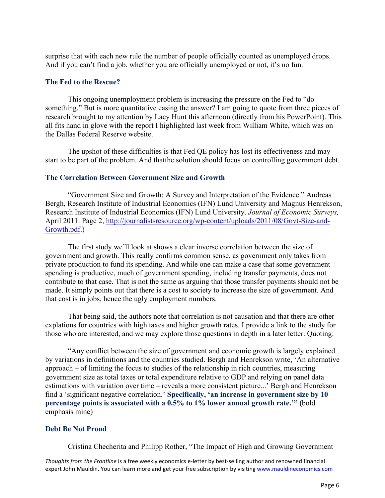surprise that with each new rule the number of people officially counted as unemployed drops. And if you can't find a job, whether you are officially unemployed or not, it's no fun.

#### **The Fed to the Rescue?**

This ongoing unemployment problem is increasing the pressure on the Fed to "do something." But is more quantitative easing the answer? I am going to quote from three pieces of research brought to my attention by Lacy Hunt this afternoon (directly from his PowerPoint). This all fits hand in glove with the report I highlighted last week from William White, which was on the Dallas Federal Reserve website.

The upshot of these difficulties is that Fed QE policy has lost its effectiveness and may start to be part of the problem. And thatthe solution should focus on controlling government debt.

#### **The Correlation Between Government Size and Growth**

"Government Size and Growth: A Survey and Interpretation of the Evidence." Andreas Bergh, Research Institute of Industrial Economics (IFN) Lund University and Magnus Henrekson, Research Institute of Industrial Economics (IFN) Lund University. *Journal of Economic Surveys,* April 2011. Page 2, http://journalistsresource.org/wp-content/uploads/2011/08/Govt-Size-and-Growth.pdf.)

The first study we'll look at shows a clear inverse correlation between the size of government and growth. This really confirms common sense, as government only takes from private production to fund its spending. And while one can make a case that some government spending is productive, much of government spending, including transfer payments, does not contribute to that case. That is not the same as arguing that those transfer payments should not be made. It simply points out that there is a cost to society to increase the size of government. And that cost is in jobs, hence the ugly employment numbers.

That being said, the authors note that correlation is not causation and that there are other explations for countries with high taxes and higher growth rates. I provide a link to the study for those who are interested, and we may explore those questions in depth in a later letter. Quoting:

"Any conflict between the size of government and economic growth is largely explained by variations in definitions and the countries studied. Bergh and Henrekson write, 'An alternative approach – of limiting the focus to studies of the relationship in rich countries, measuring government size as total taxes or total expenditure relative to GDP and relying on panel data estimations with variation over time – reveals a more consistent picture...' Bergh and Henrekson find a 'significant negative correlation.' **Specifically, 'an increase in government size by 10 percentage points is associated with a 0.5% to 1% lower annual growth rate.'" (**bold emphasis mine)

#### **Debt Be Not Proud**

Cristina Checherita and Philipp Rother, "The Impact of High and Growing Government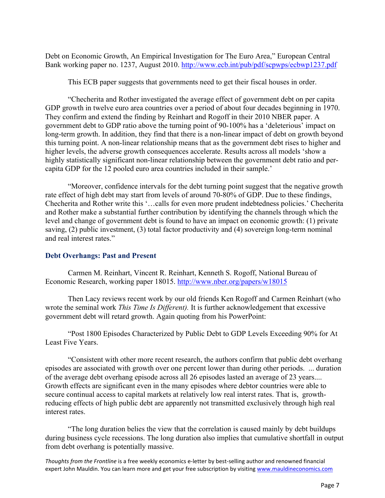Debt on Economic Growth, An Empirical Investigation for The Euro Area," European Central Bank working paper no. 1237, August 2010. http://www.ecb.int/pub/pdf/scpwps/ecbwp1237.pdf

This ECB paper suggests that governments need to get their fiscal houses in order.

"Checherita and Rother investigated the average effect of government debt on per capita GDP growth in twelve euro area countries over a period of about four decades beginning in 1970. They confirm and extend the finding by Reinhart and Rogoff in their 2010 NBER paper. A government debt to GDP ratio above the turning point of 90-100% has a 'deleterious' impact on long-term growth. In addition, they find that there is a non-linear impact of debt on growth beyond this turning point. A non-linear relationship means that as the government debt rises to higher and higher levels, the adverse growth consequences accelerate. Results across all models 'show a highly statistically significant non-linear relationship between the government debt ratio and percapita GDP for the 12 pooled euro area countries included in their sample.'

"Moreover, confidence intervals for the debt turning point suggest that the negative growth rate effect of high debt may start from levels of around 70-80% of GDP. Due to these findings, Checherita and Rother write this '…calls for even more prudent indebtedness policies.' Checherita and Rother make a substantial further contribution by identifying the channels through which the level and change of government debt is found to have an impact on economic growth: (1) private saving, (2) public investment, (3) total factor productivity and (4) sovereign long-term nominal and real interest rates."

#### **Debt Overhangs: Past and Present**

Carmen M. Reinhart, Vincent R. Reinhart, Kenneth S. Rogoff, National Bureau of Economic Research, working paper 18015. http://www.nber.org/papers/w18015

Then Lacy reviews recent work by our old friends Ken Rogoff and Carmen Reinhart (who wrote the seminal work *This Time Is Different).* It is further acknowledgement that excessive government debt will retard growth. Again quoting from his PowerPoint:

"Post 1800 Episodes Characterized by Public Debt to GDP Levels Exceeding 90% for At Least Five Years.

"Consistent with other more recent research, the authors confirm that public debt overhang episodes are associated with growth over one percent lower than during other periods. ... duration of the average debt overhang episode across all 26 episodes lasted an average of 23 years.... Growth effects are significant even in the many episodes where debtor countries were able to secure continual access to capital markets at relatively low real interst rates. That is, growthreducing effects of high public debt are apparently not transmitted exclusively through high real interest rates.

"The long duration belies the view that the correlation is caused mainly by debt buildups during business cycle recessions. The long duration also implies that cumulative shortfall in output from debt overhang is potentially massive.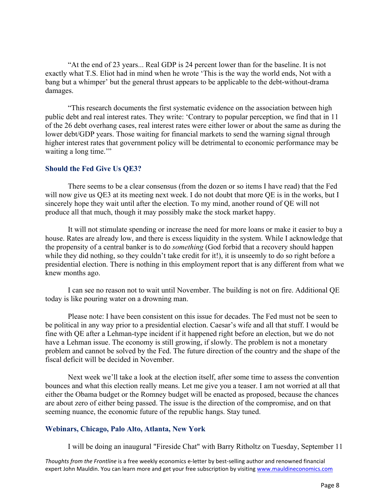"At the end of 23 years... Real GDP is 24 percent lower than for the baseline. It is not exactly what T.S. Eliot had in mind when he wrote 'This is the way the world ends, Not with a bang but a whimper' but the general thrust appears to be applicable to the debt-without-drama damages.

"This research documents the first systematic evidence on the association between high public debt and real interest rates. They write: 'Contrary to popular perception, we find that in 11 of the 26 debt overhang cases, real interest rates were either lower or about the same as during the lower debt/GDP years. Those waiting for financial markets to send the warning signal through higher interest rates that government policy will be detrimental to economic performance may be waiting a long time."

#### **Should the Fed Give Us QE3?**

There seems to be a clear consensus (from the dozen or so items I have read) that the Fed will now give us OE3 at its meeting next week. I do not doubt that more OE is in the works, but I sincerely hope they wait until after the election. To my mind, another round of QE will not produce all that much, though it may possibly make the stock market happy.

It will not stimulate spending or increase the need for more loans or make it easier to buy a house. Rates are already low, and there is excess liquidity in the system. While I acknowledge that the propensity of a central banker is to do *something* (God forbid that a recovery should happen while they did nothing, so they couldn't take credit for it!), it is unseemly to do so right before a presidential election. There is nothing in this employment report that is any different from what we knew months ago.

I can see no reason not to wait until November. The building is not on fire. Additional QE today is like pouring water on a drowning man.

Please note: I have been consistent on this issue for decades. The Fed must not be seen to be political in any way prior to a presidential election. Caesar's wife and all that stuff. I would be fine with QE after a Lehman-type incident if it happened right before an election, but we do not have a Lehman issue. The economy is still growing, if slowly. The problem is not a monetary problem and cannot be solved by the Fed. The future direction of the country and the shape of the fiscal deficit will be decided in November.

Next week we'll take a look at the election itself, after some time to assess the convention bounces and what this election really means. Let me give you a teaser. I am not worried at all that either the Obama budget or the Romney budget will be enacted as proposed, because the chances are about zero of either being passed. The issue is the direction of the compromise, and on that seeming nuance, the economic future of the republic hangs. Stay tuned.

### **Webinars, Chicago, Palo Alto, Atlanta, New York**

I will be doing an inaugural "Fireside Chat" with Barry Ritholtz on Tuesday, September 11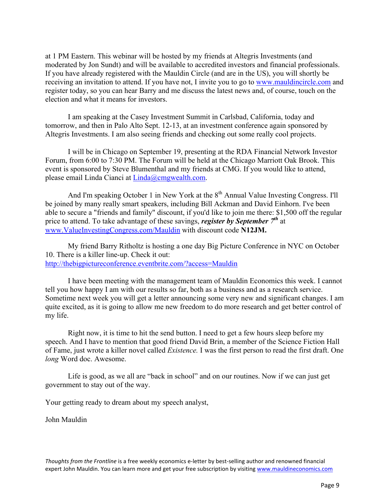at 1 PM Eastern. This webinar will be hosted by my friends at Altegris Investments (and moderated by Jon Sundt) and will be available to accredited investors and financial professionals. If you have already registered with the Mauldin Circle (and are in the US), you will shortly be receiving an invitation to attend. If you have not, I invite you to go to www.mauldincircle.com and register today, so you can hear Barry and me discuss the latest news and, of course, touch on the election and what it means for investors.

I am speaking at the Casey Investment Summit in Carlsbad, California, today and tomorrow, and then in Palo Alto Sept. 12-13, at an investment conference again sponsored by Altegris Investments. I am also seeing friends and checking out some really cool projects.

I will be in Chicago on September 19, presenting at the RDA Financial Network Investor Forum, from 6:00 to 7:30 PM. The Forum will be held at the Chicago Marriott Oak Brook. This event is sponsored by Steve Blumenthal and my friends at CMG. If you would like to attend, please email Linda Cianci at Linda@cmgwealth.com.

And I'm speaking October 1 in New York at the 8<sup>th</sup> Annual Value Investing Congress. I'll be joined by many really smart speakers, including Bill Ackman and David Einhorn. I've been able to secure a "friends and family" discount, if you'd like to join me there: \$1,500 off the regular price to attend. To take advantage of these savings, *register by September 7th* at www.ValueInvestingCongress.com/Mauldin with discount code **N12JM.**

My friend Barry Ritholtz is hosting a one day Big Picture Conference in NYC on October 10. There is a killer line-up. Check it out: http://thebigpictureconference.eventbrite.com/?access=Mauldin

I have been meeting with the management team of Mauldin Economics this week. I cannot tell you how happy I am with our results so far, both as a business and as a research service. Sometime next week you will get a letter announcing some very new and significant changes. I am quite excited, as it is going to allow me new freedom to do more research and get better control of my life.

Right now, it is time to hit the send button. I need to get a few hours sleep before my speech. And I have to mention that good friend David Brin, a member of the Science Fiction Hall of Fame, just wrote a killer novel called *Existence.* I was the first person to read the first draft. One *long* Word doc. Awesome.

Life is good, as we all are "back in school" and on our routines. Now if we can just get government to stay out of the way.

Your getting ready to dream about my speech analyst,

John Mauldin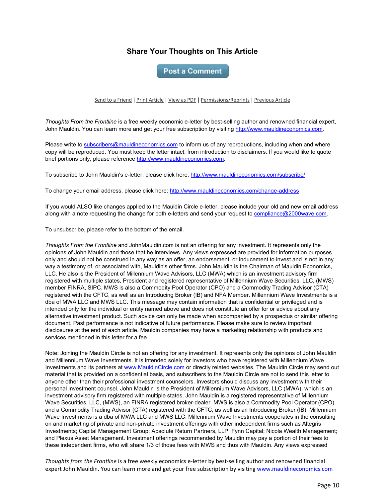## **Share Your Thoughts on This Article**

**Post a Comment** 

Send to a Friend | Print Article | View as PDF | Permissions/Reprints | Previous Article

*Thoughts From the Frontline* is a free weekly economic e-letter by best-selling author and renowned financial expert, John Mauldin. You can learn more and get your free subscription by visiting http://www.mauldineconomics.com.

Please write to subscribers@mauldineconomics.com to inform us of any reproductions, including when and where copy will be reproduced. You must keep the letter intact, from introduction to disclaimers. If you would like to quote brief portions only, please reference http://www.mauldineconomics.com.

To subscribe to John Mauldin's e-letter, please click here: http://www.mauldineconomics.com/subscribe/

To change your email address, please click here: http://www.mauldineconomics.com/change-address

If you would ALSO like changes applied to the Mauldin Circle e-letter, please include your old and new email address along with a note requesting the change for both e-letters and send your request to compliance@2000wave.com.

To unsubscribe, please refer to the bottom of the email.

*Thoughts From the Frontline* and JohnMauldin.com is not an offering for any investment. It represents only the opinions of John Mauldin and those that he interviews. Any views expressed are provided for information purposes only and should not be construed in any way as an offer, an endorsement, or inducement to invest and is not in any way a testimony of, or associated with, Mauldin's other firms. John Mauldin is the Chairman of Mauldin Economics, LLC. He also is the President of Millennium Wave Advisors, LLC (MWA) which is an investment advisory firm registered with multiple states, President and registered representative of Millennium Wave Securities, LLC, (MWS) member FINRA, SIPC. MWS is also a Commodity Pool Operator (CPO) and a Commodity Trading Advisor (CTA) registered with the CFTC, as well as an Introducing Broker (IB) and NFA Member. Millennium Wave Investments is a dba of MWA LLC and MWS LLC. This message may contain information that is confidential or privileged and is intended only for the individual or entity named above and does not constitute an offer for or advice about any alternative investment product. Such advice can only be made when accompanied by a prospectus or similar offering document. Past performance is not indicative of future performance. Please make sure to review important disclosures at the end of each article. Mauldin companies may have a marketing relationship with products and services mentioned in this letter for a fee.

Note: Joining the Mauldin Circle is not an offering for any investment. It represents only the opinions of John Mauldin and Millennium Wave Investments. It is intended solely for investors who have registered with Millennium Wave Investments and its partners at www.MauldinCircle.com or directly related websites. The Mauldin Circle may send out material that is provided on a confidential basis, and subscribers to the Mauldin Circle are not to send this letter to anyone other than their professional investment counselors. Investors should discuss any investment with their personal investment counsel. John Mauldin is the President of Millennium Wave Advisors, LLC (MWA), which is an investment advisory firm registered with multiple states. John Mauldin is a registered representative of Millennium Wave Securities, LLC, (MWS), an FINRA registered broker-dealer. MWS is also a Commodity Pool Operator (CPO) and a Commodity Trading Advisor (CTA) registered with the CFTC, as well as an Introducing Broker (IB). Millennium Wave Investments is a dba of MWA LLC and MWS LLC. Millennium Wave Investments cooperates in the consulting on and marketing of private and non-private investment offerings with other independent firms such as Altegris Investments; Capital Management Group; Absolute Return Partners, LLP; Fynn Capital; Nicola Wealth Management; and Plexus Asset Management. Investment offerings recommended by Mauldin may pay a portion of their fees to these independent firms, who will share 1/3 of those fees with MWS and thus with Mauldin. Any views expressed